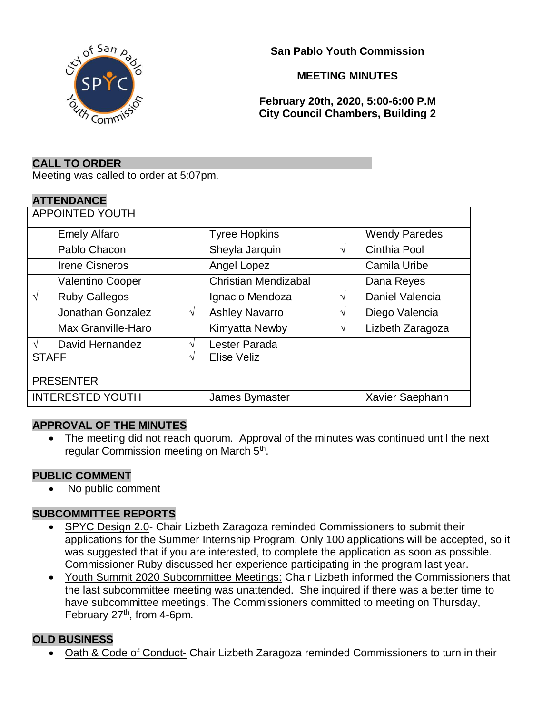

**San Pablo Youth Commission**

### **MEETING MINUTES**

**February 20th, 2020, 5:00-6:00 P.M City Council Chambers, Building 2**

#### **CALL TO ORDER**

Meeting was called to order at 5:07pm.

#### **ATTENDANCE**

| <b>APPOINTED YOUTH</b>  |                       |               |                             |   |                      |
|-------------------------|-----------------------|---------------|-----------------------------|---|----------------------|
|                         | <b>Emely Alfaro</b>   |               | <b>Tyree Hopkins</b>        |   | <b>Wendy Paredes</b> |
|                         | Pablo Chacon          |               | Sheyla Jarquin              | V | Cinthia Pool         |
|                         | <b>Irene Cisneros</b> |               | Angel Lopez                 |   | Camila Uribe         |
|                         | Valentino Cooper      |               | <b>Christian Mendizabal</b> |   | Dana Reyes           |
| $\sqrt{ }$              | <b>Ruby Gallegos</b>  |               | Ignacio Mendoza             | V | Daniel Valencia      |
|                         | Jonathan Gonzalez     | $\sqrt{ }$    | <b>Ashley Navarro</b>       | N | Diego Valencia       |
|                         | Max Granville-Haro    |               | Kimyatta Newby              | N | Lizbeth Zaragoza     |
| $\mathcal{N}$           | David Hernandez       | $\gamma$      | Lester Parada               |   |                      |
| <b>STAFF</b>            |                       | $\mathcal{N}$ | <b>Elise Veliz</b>          |   |                      |
| <b>PRESENTER</b>        |                       |               |                             |   |                      |
| <b>INTERESTED YOUTH</b> |                       |               | James Bymaster              |   | Xavier Saephanh      |

### **APPROVAL OF THE MINUTES**

• The meeting did not reach quorum. Approval of the minutes was continued until the next regular Commission meeting on March 5<sup>th</sup>.

### **PUBLIC COMMENT**

• No public comment

### **SUBCOMMITTEE REPORTS**

- SPYC Design 2.0- Chair Lizbeth Zaragoza reminded Commissioners to submit their applications for the Summer Internship Program. Only 100 applications will be accepted, so it was suggested that if you are interested, to complete the application as soon as possible. Commissioner Ruby discussed her experience participating in the program last year.
- Youth Summit 2020 Subcommittee Meetings: Chair Lizbeth informed the Commissioners that the last subcommittee meeting was unattended. She inquired if there was a better time to have subcommittee meetings. The Commissioners committed to meeting on Thursday, February 27<sup>th</sup>, from 4-6pm.

### **OLD BUSINESS**

• Oath & Code of Conduct- Chair Lizbeth Zaragoza reminded Commissioners to turn in their